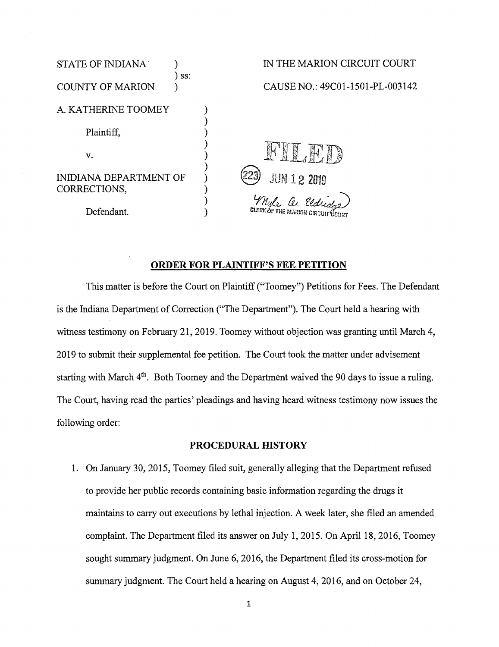

# ORDER FOR PLAINTIFF'S FEE PETITION

This matter is before the Court on Plaintiff ("Toomey") Petitions for Fees. The Defendant is the Indiana Department of Correction ("The Department"). The Court held a hearing with witness testimony on February 21, 2019. Toomey without objection was granting until March 4, 2019 to submit their supplemental fee petition. The Court took the matter under advisement starting with March  $4<sup>th</sup>$ . Both Toomey and the Department waived the 90 days to issue a ruling. The Court, having read the parties' pleadings and having heard witness testimony now issues the following order:

### PROCEDURAL HISTORY

1. On January 30, 2015, Toomey filed suit, generally alleging that the Department refused to provide her public records containing basic information regarding the drugs it maintains to carry out executions by lethal injection. A week later, she filed an amended complaint. The Department filed its answer on July 1, 2015. On April 18, 2016, Toomey sought summary judgment. On June 6, 2016, the Department filed its cross-motion for summary judgment. The Court held a hearing on August 4, 2016, and on October 24,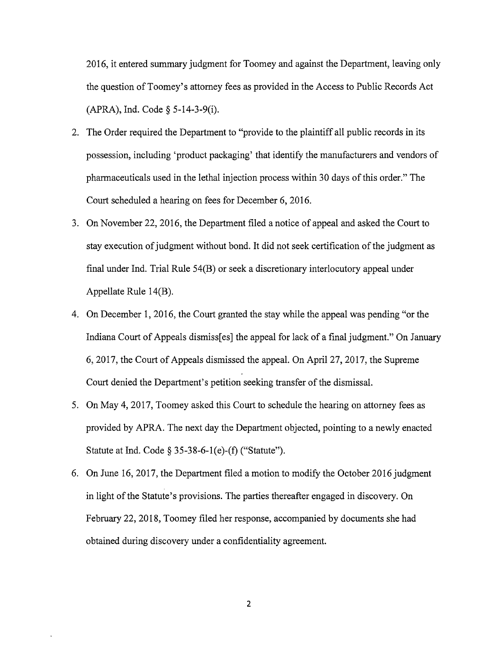2016, it entered summary judgment for Toomey and against the Department, leaving only the question ofToomey's attorney fees as provided in the Access to Public Records Act (APRA), Ind. Code§ 5-14-3-9(i).

- 2. The Order required the Department to "provide to the plaintiff all public records in its possession, including 'product packaging' that identify the manufacturers and vendors of pharmaceuticals used in the lethal injection process within 30 days ofthis order." The Court scheduled a hearing on fees for December 6, 2016.
- 3. On November 22, 2016, the Department filed a notice of appeal and asked the Court to stay execution of judgment without bond. It did not seek certification of the judgment as final under Ind. Trial Rule 54(B) or seek a discretionary interlocutory appeal under Appellate Rule 14(B).
- 4. On December 1, 2016, the Court granted the stay while the appeal was pending "or the Indiana Court of Appeals dismiss[es] the appeal for lack of a final judgment." On January 6, 2017, the Court of Appeals dismissed the appeal. On April 27, 2017, the Supreme Court denied the Department's petition seeking transfer of the dismissal.
- 5. On May 4, 2017, Toomey asked this Court to schedule the hearing on attorney fees as provided by APRA. The next day the Department objected, pointing to a newly enacted Statute at Ind. Code§ 35-38-6-l(e)-(f) ("Statute").
- 6. On June 16, 2017, the Department filed a motion to modify the October 2016 judgment in light of the Statute's provisions. The parties thereafter engaged in discovery. On February 22, 2018, Toomey filed her response, accompanied by documents she had obtained during discovery under a confidentiality agreement.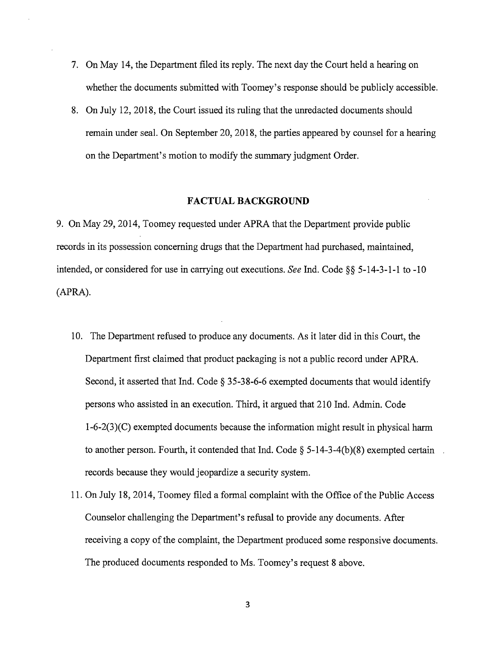- 7. On May 14, the Department filed its reply. The next day the Court held a hearing on whether the documents submitted with Toomey's response should be publicly accessible.
- 8. On July 12, 2018, the Court issued its ruling that the unredacted documents should remain under seal. On September 20, 2018, the parties appeared by counsel for a hearing on the Department's motion to modify the summary judgment Order.

#### **FACTUAL BACKGROUND**

9. On May 29, 2014, Toomey requested under APRA that the Department provide public records in its possession concerning drugs that the Department had purchased, maintained, intended, or considered for use in carrying out executions. *See* Ind. Code§§ 5-14-3-1-1 to -10 (APRA).

- 10. The Department refused to produce any documents. As it later did in this Court, the Department first claimed that product packaging is not a public record under APRA. Second, it asserted that Ind. Code§ 35-38-6-6 exempted documents that would identify persons who assisted in an execution. Third, it argued that 210 Ind. Admin. Code  $1-6-2(3)(C)$  exempted documents because the information might result in physical harm to another person. Fourth, it contended that Ind. Code  $\S$  5-14-3-4(b)(8) exempted certain records because they would jeopardize a security system.
- 11. On July 18, 2014, Toomey filed a formal complaint with the Office ofthe Public Access Counselor challenging the Department's refusal to provide any documents. After receiving a copy of the complaint, the Department produced some responsive documents. The produced documents responded to Ms. Toomey's request 8 above.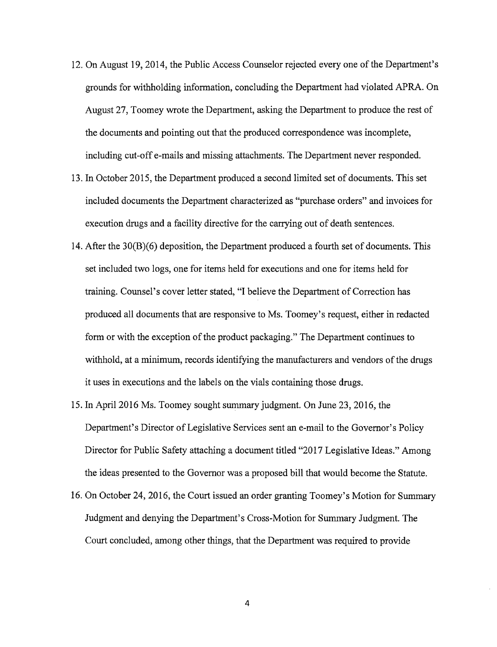- 12. On August 19, 2014, the Public Access Counselor rejected every one of the Department's grounds for withholding information, concluding the Department had violated APRA. On August 27, Toomey wrote the Department, asking the Department to produce the rest of the documents and pointing out that the produced correspondence was incomplete, including cut-off e-mails and missing attachments. The Department never responded.
- 13. In October 2015, the Department produced a second limited set of documents. This set included documents the Department characterized as "purchase orders" and invoices for execution drugs and a facility directive for the carrying out of death sentences.
- 14. After the 30(8)(6) deposition, the Department produced a fourth set of documents. This set included two logs, one for items held for executions and one for items held for training. Counsel's cover letter stated, "I believe the Department of Correction has produced all documents that are responsive to Ms. Toomey's request, either in redacted form or with the exception of the product packaging." The Department continues to withhold, at a minimum, records identifying the manufacturers and vendors of the drugs it uses in executions and the labels on the vials containing those drugs.
- 15. In April 2016 Ms. Toomey sought summary judgment. On June 23, 2016, the Department's Director of Legislative Services sent an e-mail to the Governor's Policy Director for Public Safety attaching a document titled "2017 Legislative Ideas." Among the ideas presented to the Governor was a proposed bill that would become the Statute.
- 16. On October 24, 2016, the Court issued an order granting Toomey's Motion for Summary Judgment and denying the Department's Cross-Motion for Summary Judgment. The Court concluded, among other things, that the Department was required to provide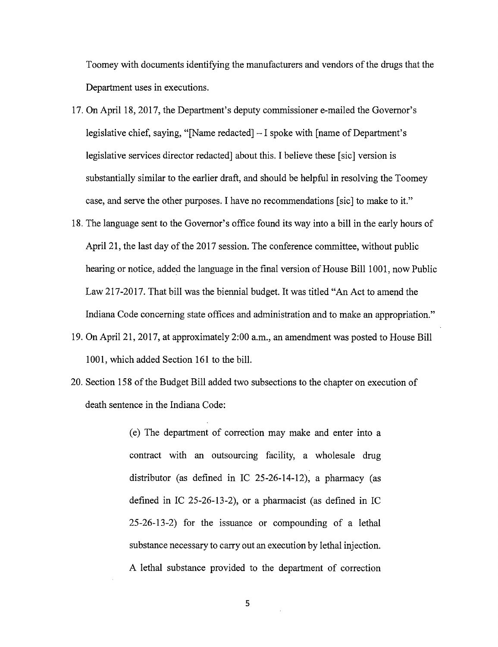Toomey with documents identifying the manufacturers and vendors of the drugs that the Department uses in executions.

- 17. On April 18, 2017, the Department's deputy commissioner e-mailed the Governor's legislative chief, saying, "[Name redacted]  $-1$  spoke with [name of Department's legislative services director redacted] about this. I believe these [sic] version is substantially similar to the earlier draft, and should be helpful in resolving the Toomey case, and serve the other purposes. I have no recommendations [sic] to make to it."
- 18. The language sent to the Governor's office found its way into a bill in the early hours of April 21, the last day of the 2017 session. The conference committee, without public hearing or notice, added the language in the final version of House Bill 1001, now Public Law 217-2017. That bill was the biennial budget. It was titled "An Act to amend the Indiana Code concerning state offices and administration and to make an appropriation."
- 19. On April 21, 2017, at approximately 2:00 a.m., an amendment was posted to House Bill 1001, which added Section 161 to the bill.
- 20. Section 158 of the Budget Bill added two subsections to the chapter on execution of death sentence in the Indiana Code:
	- (e) The department of correction may make and enter into a contract with an outsourcing facility, a wholesale drug distributor (as defined in IC 25-26-14-12), a pharmacy (as defined in IC 25-26-13-2), or a pharmacist (as defined in IC 25-26-13-2) for the issuance or compounding of a lethal substance necessary to carry out an execution by lethal injection. A lethal substance provided to the department of correction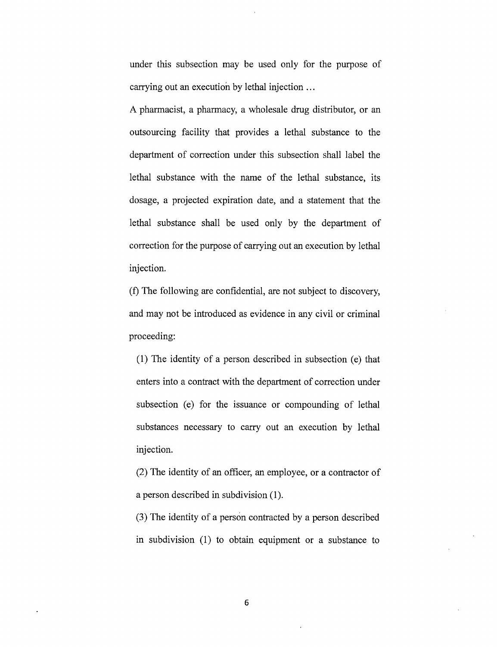under this subsection may be used only for the purpose of carrying out an execution by lethal injection ...

A pharmacist, a pharmacy, a wholesale drug distributor, or an outsourcing facility that provides a lethal substance to the department of correction under this subsection shall label the lethal substance with the name of the lethal substance, its dosage, a projected expiration date, and a statement that the lethal substance shall be used only by the department of correction for the purpose of carrying out an execution by lethal injection.

(f) The following are confidential, are not subject to discovery, and may not be introduced as evidence in any civil or criminal proceeding:

(1) The identity of a person described in subsection  $(e)$  that enters into a contract with the department of correction under subsection (e) for the issuance or compounding of lethal substances necessary to carry out an execution by lethal injection.

(2) The identity of an officer, an employee, or a contractor of a person described in subdivision (1 ).

(3) The identity of a person contracted by a person described in subdivision (1) to obtain equipment or a substance to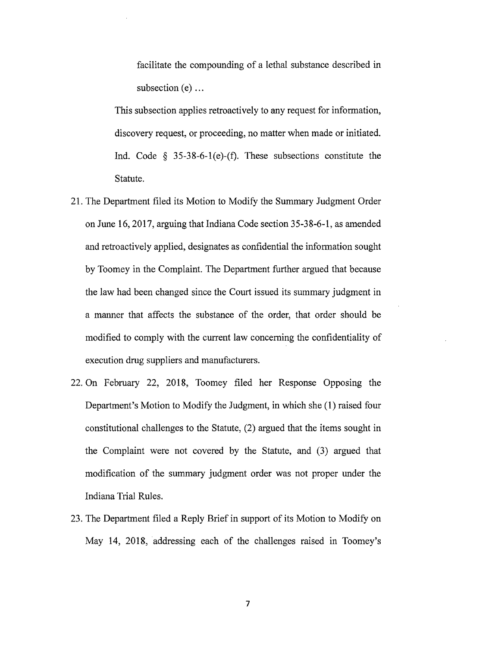facilitate the compounding of a lethal substance described in subsection  $(e)$  ...

This subsection applies retroactively to any request for information, discovery request, or proceeding, no matter when made or initiated. Ind. Code *§* 35-38-6-l(e)-(f). These subsections constitute the Statute.

- 21. The Department filed its Motion to Modify the Summary Judgment Order on June 16, 2017, arguing that Indiana Code section 35-38-6-1, as amended and retroactively applied, designates as confidential the information sought by Toomey in the Complaint. The Department further argued that because the law had been changed since the Court issued its summary judgment in a manner that affects the substance of the order, that order should be modified to comply with the current law concerning the confidentiality of execution drug suppliers and manufacturers.
- 22. On February 22, 2018, Toomey filed her Response Opposing the Department's Motion to Modify the Judgment, in which she (1) raised four constitutional challenges to the Statute, (2) argued that the items sought in the Complaint were not covered by the Statute, and (3) argued that modification of the summary judgment order was not proper under the Indiana Trial Rules.
- 23. The Department filed a Reply Brief in support of its Motion to Modify on May 14, 2018, addressing each of the challenges raised in Toomey's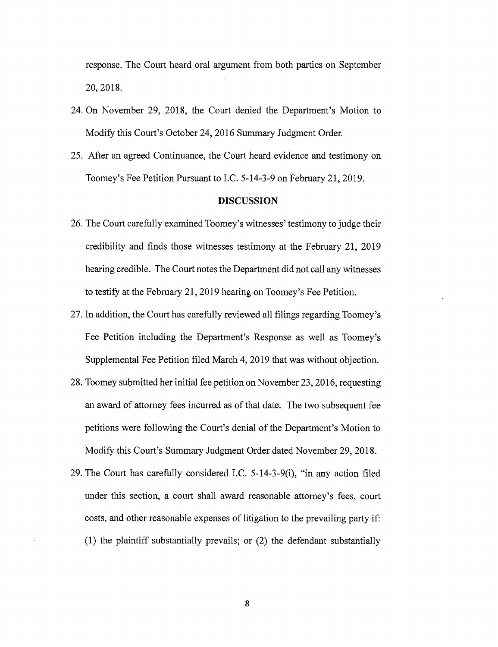response. The Court heard oral argument from both parties on September 20, 2018.

- 24. On November 29, 2018, the Court denied the Department's Motion to Modify this Court's October 24, 2016 Summary Judgment Order.
- 25. After an agreed Continuance, the Court heard evidence and testimony on Toomey's Fee Petition Pursuant to I.C. 5-14-3-9 on February 21, 2019.

#### **DISCUSSION**

- 26. The Court carefully examined Toomey's witnesses' testimony to judge their credibility and finds those witnesses testimony at the February 21, 2019 hearing credible. The Court notes the Department did not call any witnesses to testify at the February 21, 2019 hearing on Toomey's Fee Petition.
- 27. In addition, the Court has carefully reviewed all filings regarding Toomey's Fee Petition including the Department's Response as well as Toomey's Supplemental Fee Petition filed March 4, 2019 that was without objection.
- 28. Toomey submitted her initial fee petition on November 23, 2016, requesting an award of attorney fees incurred as of that date. The two subsequent fee petitions were following the Court's denial of the Department's Motion to Modify this Court's Summary Judgment Order dated November 29, 2018.
- 29. The Court has carefully considered I.C.  $5-14-3-9(i)$ , "in any action filed under this section, a court shall award reasonable attorney's fees, court costs, and other reasonable expenses of litigation to the prevailing party if: (1) the plaintiff substantially prevails; or (2) the defendant substantially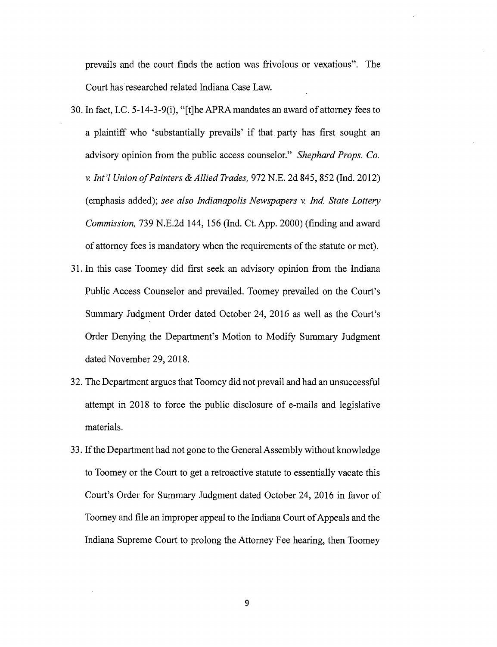prevails and the court finds the action was frivolous or vexatious". The Court has researched related Indiana Case Law.

- 30. In fact, LC. 5-14-3-9(i), "[t]heAPRAmandates an award of attorney fees to a plaintiff who 'substantially prevails' if that party has first sought an advisory opinion from the public access counselor." *Shephard Props. Co. v. lnt'l Union ofPainters* & *Allied Trades,* 972 N.E. 2d 845, 852 (Ind. 2012) (emphasis added); *see also Indianapolis Newspapers v. Ind. State Lottery Commission,* 739 N.E.2d 144, 156 (Ind. Ct. App. 2000) (finding and award of attorney fees is mandatory when the requirements of the statute or met).
- 31. In this case Toomey did first seek an advisory opinion from the Indiana Public Access Counselor and prevailed. Toomey prevailed on the Court's Summary Judgment Order dated October 24, 2016 as well as the Court's Order Denying the Department's Motion to Modify Summary Judgment dated November 29, 2018.
- 32. The Department argues that Toomey did not prevail and had an unsuccessful attempt in 2018 to force the public disclosure of e-mails and legislative materials.
- 33. Ifthe Department had not gone to the General Assembly without knowledge to Toomey or the Court to get a retroactive statute to essentially vacate this Court's Order for Summary Judgment dated October 24, 2016 in favor of Toomey and file an improper appeal to the Indiana Court of Appeals and the Indiana Supreme Court to prolong the Attorney Fee hearing, then Toomey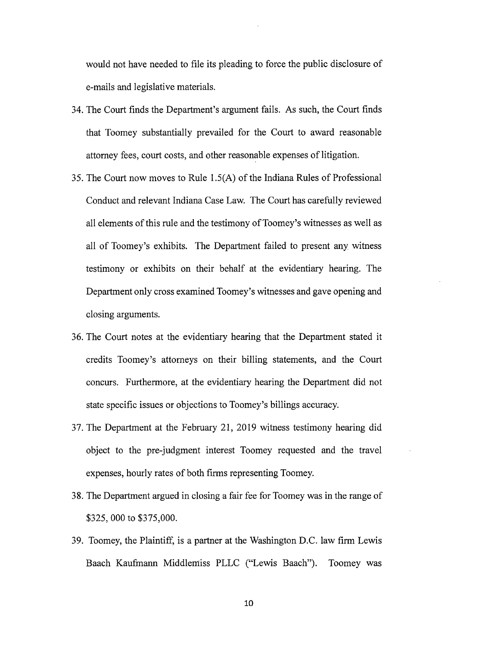would not have needed to file its pleading to force the public disclosure of e-mails and legislative materials.

- 34. The Court finds the Department's argument fails. As such, the Court finds that Toomey substantially prevailed for the Court to award reasonable attorney fees, court costs, and other reasonable expenses of litigation.
- 35. The Court now moves to Rule l.5(A) of the Indiana Rules of Professional Conduct and relevant Indiana Case Law. The Court has carefully reviewed all elements of this rule and the testimony of Toomey's witnesses as well as all of Toomey's exhibits. The Department failed to present any witness testimony or exhibits on their behalf at the evidentiary hearing. The Department only cross examined Toomey's witnesses and gave opening and closing arguments.
- 36. The Court notes at the evidentiary hearing that the Department stated it credits Toomey's attorneys on their billing statements, and the Court concurs. Furthermore, at the evidentiary hearing the Department did not state specific issues or objections to Toomey's billings accuracy.
- 37. The Department at the February 21, 2019 witness testimony hearing did object to the pre-judgment interest Toomey requested and the travel expenses, hourly rates of both firms representing Toomey.
- 38. The Department argued in closing a fair fee for Toomey was in the range of \$325, 000 to \$375,000.
- 39. Toomey, the Plaintiff, is a partner at the Washington D.C. law firm Lewis Baach Kaufmann Middlemiss PLLC ("Lewis Baach"). Toomey was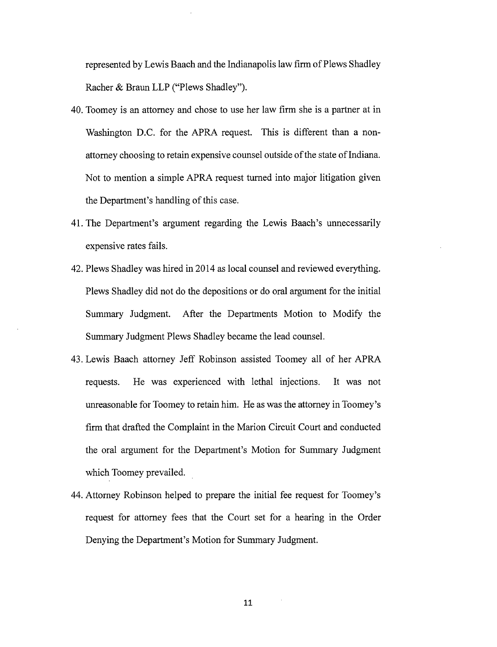represented by Lewis Baach and the Indianapolis law firm of Plews Shadley Racher & Braun LLP ("Plews Shadley").

- 40. Toomey is an attorney and chose to use her law firm she is a partner at in Washington D.C. for the APRA request. This is different than a nonattorney choosing to retain expensive counsel outside of the state of Indiana. Not to mention a simple APRA request turned into major litigation given the Department's handling of this case.
- 41. The Department's argument regarding the Lewis Baach's unnecessarily expensive rates fails.
- 42. Plews Shadley was hired in 2014 as local counsel and reviewed everything. Plews Shadley did not do the depositions or do oral argument for the initial Summary Judgment. After the Departments Motion to Modify the Summary Judgment Plews Shadley became the lead counsel.
- 43. Lewis Baach attorney Jeff Robinson assisted Toomey all of her APRA requests. He was experienced with lethal injections. It was not unreasonable for Toomey to retain him. He as was the attorney in Toomey's firm that drafted the Complaint in the Marion Circuit Court and conducted the oral argument for the Department's Motion for Summary Judgment which Toomey prevailed.
- 44. Attorney Robinson helped to prepare the initial fee request for Toomey's request for attorney fees that the Court set for a hearing in the Order Denying the Department's Motion for Summary Judgment.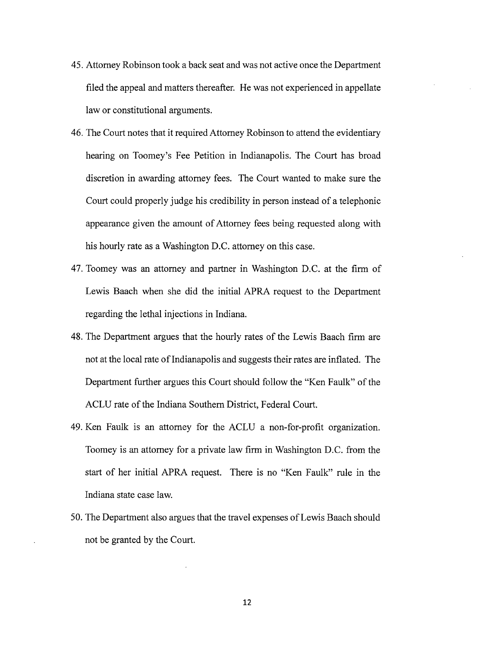- 45. Attorney Robinson took a back seat and was not active once the Department filed the appeal and matters thereafter. He was not experienced in appellate law or constitutional arguments.
- 46. The Court notes that it required Attorney Robinson to attend the evidentiary hearing on Toomey's Fee Petition in Indianapolis. The Court has broad discretion in awarding attorney fees. The Court wanted to make sure the Court could properly judge his credibility in person instead of a telephonic appearance given the amount of Attorney fees being requested along with his hourly rate as a Washington D.C. attorney on this case.
- 47. Toomey was an attorney and partner in Washington D.C. at the firm of Lewis Baach when she did the initial APRA request to the Department regarding the lethal injections in Indiana.
- 48. The Department argues that the hourly rates of the Lewis Baach firm are not at the local rate of Indianapolis and suggests their rates are inflated. The Department further argues this Court should follow the "Ken Faulk" of the ACLU rate of the Indiana Southern District, Federal Court.
- 49. Ken Faulk is an attorney for the ACLU a non-for-profit organization. Toomey is an attorney for a private law firm in Washington D.C. from the start of her initial APRA request. There is no "Ken Faulk" rule in the Indiana state case law.
- 50. The Department also argues that the travel expenses of Lewis Baach should not be granted by the Court.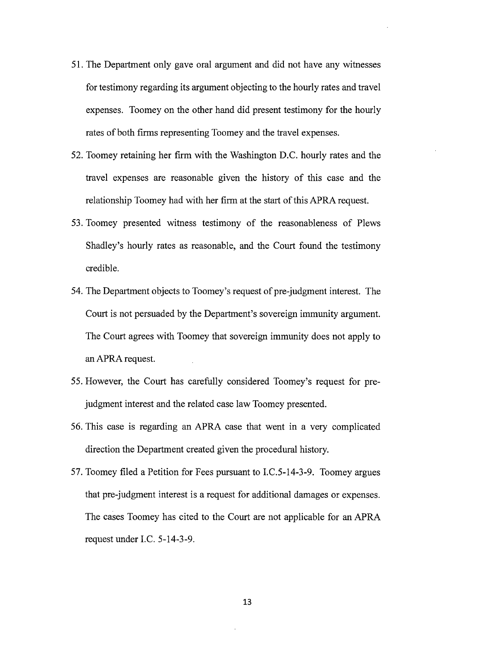- 51. The Department only gave oral argument and did not have any witnesses for testimony regarding its argument objecting to the hourly rates and travel expenses. Toomey on the other hand did present testimony for the hourly rates of both firms representing Toomey and the travel expenses.
- 52. Toomey retaining her firm with the Washington D.C. hourly rates and the travel expenses are reasonable given the history of this case and the relationship Toomey had with her firm at the start of this APRA request.
- 53. Toomey presented witness testimony of the reasonableness of Plews Shadley's hourly rates as reasonable, and the Court found the testimony credible.
- 54. The Department objects to Toomey's request of pre-judgment interest. The Court is not persuaded by the Department's sovereign immunity argument. The Court agrees with Toomey that sovereign immunity does not apply to an APRA request.
- 55. However, the Court has carefully considered Toomey's request for prejudgment interest and the related case law Toomey presented.
- 56. This case is regarding an APRA case that went in a very complicated direction the Department created given the procedural history.
- 57. Toomey filed a Petition for Fees pursuant to I.C.5-14-3-9. Toomey argues that pre-judgment interest is a request for additional damages or expenses. The cases Toomey has cited to the Court are not applicable for an APRA request under LC. 5-14-3-9.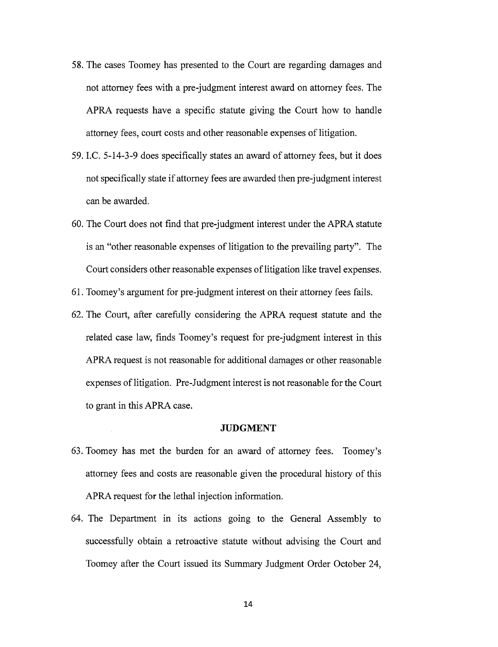- 58. The cases Toomey has presented to the Court are regarding damages and not attorney fees with a pre-judgment interest award on attorney fees. The APRA requests have a specific statute giving the Court how to handle attorney fees, court costs and other reasonable expenses of litigation.
- 59. LC. 5-14-3-9 does specifically states an award of attorney fees, but it does not specifically state if attorney fees are awarded then pre-judgment interest can be awarded.
- 60. The Court does not find that pre-judgment interest under the APRA statute is an "other reasonable expenses of litigation to the prevailing party". The Court considers other reasonable expenses of litigation like travel expenses.
- 61. Toomey's argument for pre-judgment interest on their attorney fees fails.
- 62. The Court, after carefully considering the APRA request statute and the related case law, finds Toomey's request for pre-judgment interest in this APRA request is not reasonable for additional damages or other reasonable expenses of litigation. Pre-Judgment interest is not reasonable for the Court to grant in this APRA case.

## **JUDGMENT**

- 63. Toomey has met the burden for an award of attorney fees. Toomey's attorney fees and costs are reasonable given the procedural history of this APRA request for the lethal injection information.
- 64. The Department in its actions going to the General Assembly to successfully obtain a retroactive statute without advising the Court and Toomey after the Court issued its Summary Judgment Order October 24,